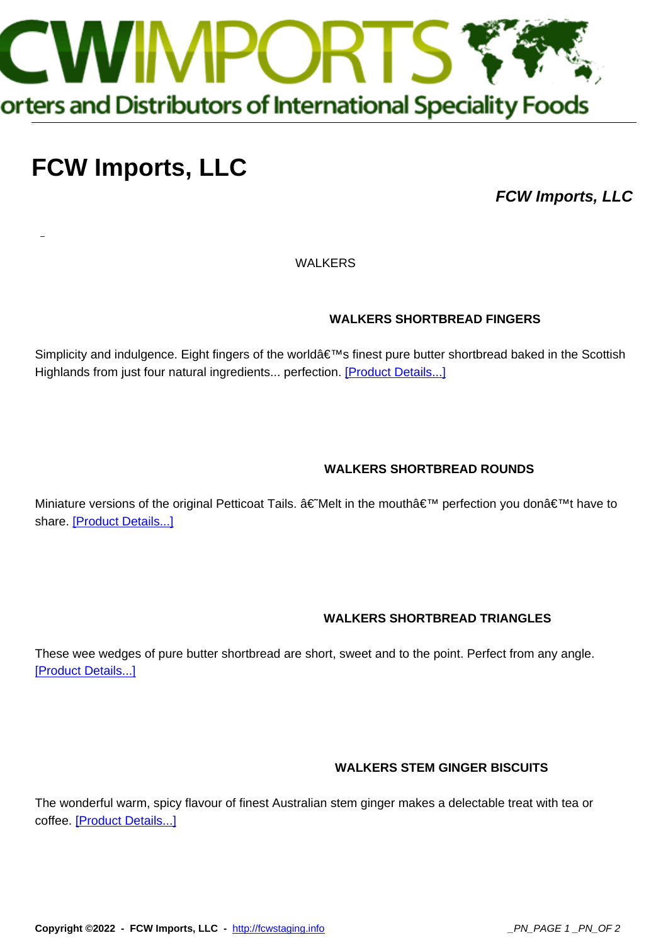

# **[FCW Imports, LLC](http://fcwstaging.info)**

**FCW Imports, LLC**

WALKERS

#### **WALKERS SHORTBREAD FINGERS**

Simplicity and indulgence. Eight fingers of the world's finest pure butter shortbread baked in the Scottish Highlands from just four natural ingredients... perfection. [Product Details...]

#### **WALKERS SHORTBREAD ROUNDS**

Miniature versions of the original Petticoat Tails. †Melt in the mouthâ€<sup>™</sup> perfection you donâ€<sup>™</sup>t have to share. [Product Details...]

#### **WALKERS SHORTBREAD TRIANGLES**

These wee wedges of pure butter shortbread are short, sweet and to the point. Perfect from any angle. [Product Details...]

#### **WALKERS STEM GINGER BISCUITS**

The wonderful warm, spicy flavour of finest Australian stem ginger makes a delectable treat with tea or coffee. [Product Details...]